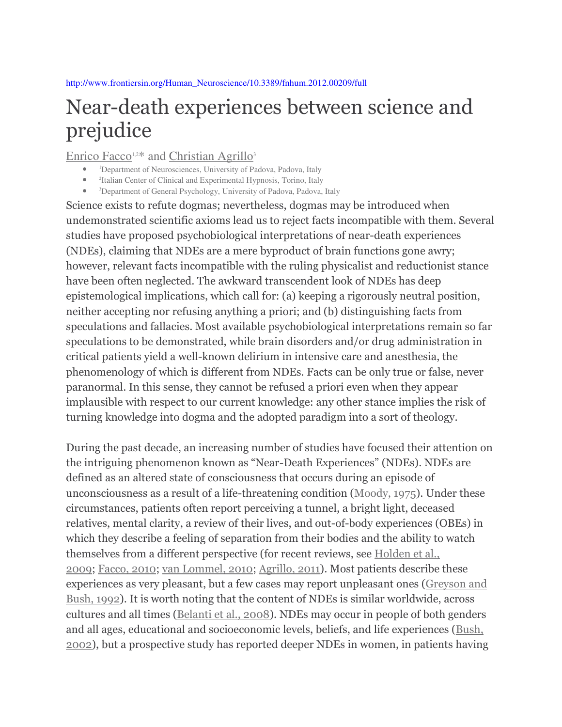# Near-death experiences between science and prejudice

Enrico Facco<sup>1,2\*</sup> and Christian Agrillo<sup>3</sup>

- <sup>1</sup>Department of Neurosciences, University of Padova, Padova, Italy
- 2 Italian Center of Clinical and Experimental Hypnosis, Torino, Italy
- <sup>3</sup>Department of General Psychology, University of Padova, Padova, Italy

Science exists to refute dogmas; nevertheless, dogmas may be introduced when undemonstrated scientific axioms lead us to reject facts incompatible with them. Several studies have proposed psychobiological interpretations of near-death experiences (NDEs), claiming that NDEs are a mere byproduct of brain functions gone awry; however, relevant facts incompatible with the ruling physicalist and reductionist stance have been often neglected. The awkward transcendent look of NDEs has deep epistemological implications, which call for: (a) keeping a rigorously neutral position, neither accepting nor refusing anything a priori; and (b) distinguishing facts from speculations and fallacies. Most available psychobiological interpretations remain so far speculations to be demonstrated, while brain disorders and/or drug administration in critical patients yield a well-known delirium in intensive care and anesthesia, the phenomenology of which is different from NDEs. Facts can be only true or false, never paranormal. In this sense, they cannot be refused a priori even when they appear implausible with respect to our current knowledge: any other stance implies the risk of turning knowledge into dogma and the adopted paradigm into a sort of theology.

During the past decade, an increasing number of studies have focused their attention on the intriguing phenomenon known as "Near-Death Experiences" (NDEs). NDEs are defined as an altered state of consciousness that occurs during an episode of unconsciousness as a result of a life-threatening condition (Moody, 1975). Under these circumstances, patients often report perceiving a tunnel, a bright light, deceased relatives, mental clarity, a review of their lives, and out-of-body experiences (OBEs) in which they describe a feeling of separation from their bodies and the ability to watch themselves from a different perspective (for recent reviews, see Holden et al., 2009; Facco, 2010; van Lommel, 2010; Agrillo, 2011). Most patients describe these experiences as very pleasant, but a few cases may report unpleasant ones (Greyson and Bush, 1992). It is worth noting that the content of NDEs is similar worldwide, across cultures and all times (Belanti et al., 2008). NDEs may occur in people of both genders and all ages, educational and socioeconomic levels, beliefs, and life experiences (Bush, 2002), but a prospective study has reported deeper NDEs in women, in patients having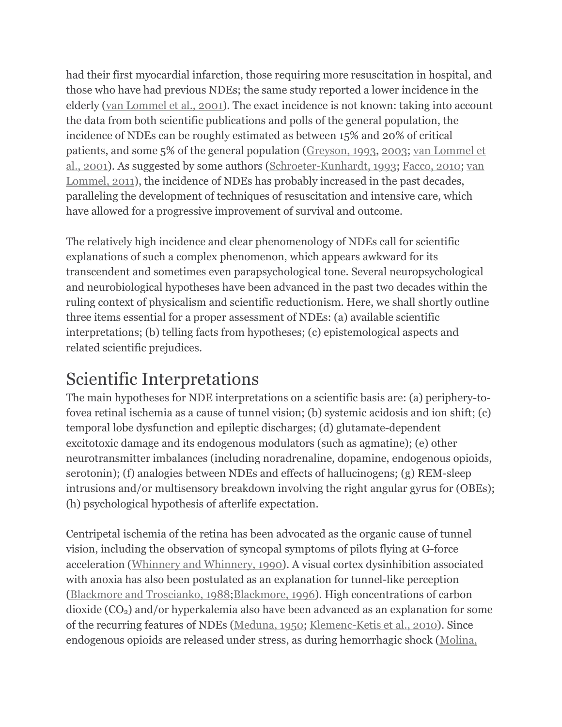had their first myocardial infarction, those requiring more resuscitation in hospital, and those who have had previous NDEs; the same study reported a lower incidence in the elderly (van Lommel et al., 2001). The exact incidence is not known: taking into account the data from both scientific publications and polls of the general population, the incidence of NDEs can be roughly estimated as between 15% and 20% of critical patients, and some 5% of the general population (Greyson, 1993, 2003; van Lommel et al., 2001). As suggested by some authors (Schroeter-Kunhardt, 1993; Facco, 2010; van Lommel, 2011), the incidence of NDEs has probably increased in the past decades, paralleling the development of techniques of resuscitation and intensive care, which have allowed for a progressive improvement of survival and outcome.

The relatively high incidence and clear phenomenology of NDEs call for scientific explanations of such a complex phenomenon, which appears awkward for its transcendent and sometimes even parapsychological tone. Several neuropsychological and neurobiological hypotheses have been advanced in the past two decades within the ruling context of physicalism and scientific reductionism. Here, we shall shortly outline three items essential for a proper assessment of NDEs: (a) available scientific interpretations; (b) telling facts from hypotheses; (c) epistemological aspects and related scientific prejudices.

### Scientific Interpretations

The main hypotheses for NDE interpretations on a scientific basis are: (a) periphery-tofovea retinal ischemia as a cause of tunnel vision; (b) systemic acidosis and ion shift; (c) temporal lobe dysfunction and epileptic discharges; (d) glutamate-dependent excitotoxic damage and its endogenous modulators (such as agmatine); (e) other neurotransmitter imbalances (including noradrenaline, dopamine, endogenous opioids, serotonin); (f) analogies between NDEs and effects of hallucinogens; (g) REM-sleep intrusions and/or multisensory breakdown involving the right angular gyrus for (OBEs); (h) psychological hypothesis of afterlife expectation.

Centripetal ischemia of the retina has been advocated as the organic cause of tunnel vision, including the observation of syncopal symptoms of pilots flying at G-force acceleration (Whinnery and Whinnery, 1990). A visual cortex dysinhibition associated with anoxia has also been postulated as an explanation for tunnel-like perception (Blackmore and Troscianko, 1988;Blackmore, 1996). High concentrations of carbon  $divide (CO<sub>2</sub>)$  and/or hyperkalemia also have been advanced as an explanation for some of the recurring features of NDEs (Meduna, 1950; Klemenc-Ketis et al., 2010). Since endogenous opioids are released under stress, as during hemorrhagic shock (Molina,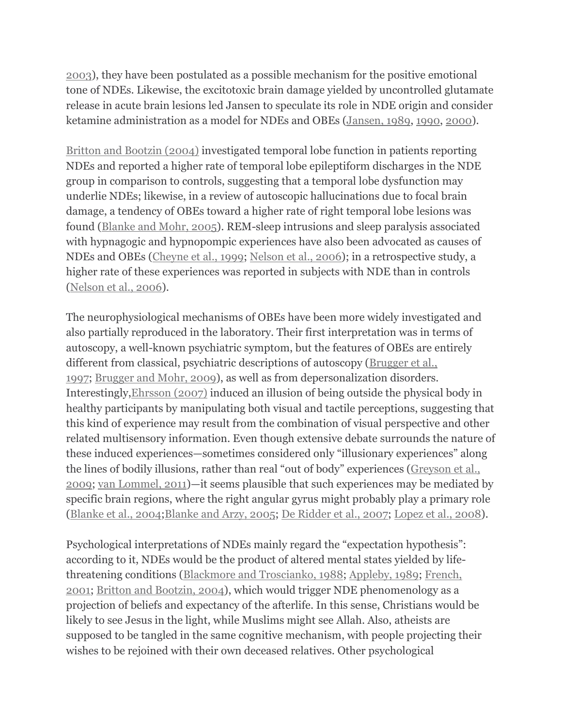2003), they have been postulated as a possible mechanism for the positive emotional tone of NDEs. Likewise, the excitotoxic brain damage yielded by uncontrolled glutamate release in acute brain lesions led Jansen to speculate its role in NDE origin and consider ketamine administration as a model for NDEs and OBEs (Jansen, 1989, 1990, 2000).

Britton and Bootzin (2004) investigated temporal lobe function in patients reporting NDEs and reported a higher rate of temporal lobe epileptiform discharges in the NDE group in comparison to controls, suggesting that a temporal lobe dysfunction may underlie NDEs; likewise, in a review of autoscopic hallucinations due to focal brain damage, a tendency of OBEs toward a higher rate of right temporal lobe lesions was found (Blanke and Mohr, 2005). REM-sleep intrusions and sleep paralysis associated with hypnagogic and hypnopompic experiences have also been advocated as causes of NDEs and OBEs (Cheyne et al., 1999; Nelson et al., 2006); in a retrospective study, a higher rate of these experiences was reported in subjects with NDE than in controls (Nelson et al., 2006).

The neurophysiological mechanisms of OBEs have been more widely investigated and also partially reproduced in the laboratory. Their first interpretation was in terms of autoscopy, a well-known psychiatric symptom, but the features of OBEs are entirely different from classical, psychiatric descriptions of autoscopy (Brugger et al., 1997; Brugger and Mohr, 2009), as well as from depersonalization disorders. Interestingly,Ehrsson (2007) induced an illusion of being outside the physical body in healthy participants by manipulating both visual and tactile perceptions, suggesting that this kind of experience may result from the combination of visual perspective and other related multisensory information. Even though extensive debate surrounds the nature of these induced experiences—sometimes considered only "illusionary experiences" along the lines of bodily illusions, rather than real "out of body" experiences (Greyson et al., 2009; van Lommel, 2011)—it seems plausible that such experiences may be mediated by specific brain regions, where the right angular gyrus might probably play a primary role (Blanke et al., 2004;Blanke and Arzy, 2005; De Ridder et al., 2007; Lopez et al., 2008).

Psychological interpretations of NDEs mainly regard the "expectation hypothesis": according to it, NDEs would be the product of altered mental states yielded by lifethreatening conditions (Blackmore and Troscianko, 1988; Appleby, 1989; French, 2001; Britton and Bootzin, 2004), which would trigger NDE phenomenology as a projection of beliefs and expectancy of the afterlife. In this sense, Christians would be likely to see Jesus in the light, while Muslims might see Allah. Also, atheists are supposed to be tangled in the same cognitive mechanism, with people projecting their wishes to be rejoined with their own deceased relatives. Other psychological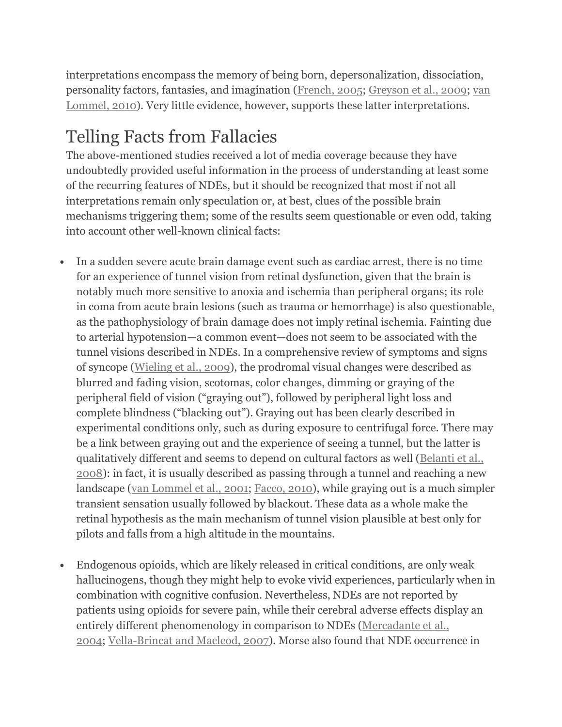interpretations encompass the memory of being born, depersonalization, dissociation, personality factors, fantasies, and imagination (French, 2005; Greyson et al., 2009; van Lommel, 2010). Very little evidence, however, supports these latter interpretations.

## Telling Facts from Fallacies

The above-mentioned studies received a lot of media coverage because they have undoubtedly provided useful information in the process of understanding at least some of the recurring features of NDEs, but it should be recognized that most if not all interpretations remain only speculation or, at best, clues of the possible brain mechanisms triggering them; some of the results seem questionable or even odd, taking into account other well-known clinical facts:

- In a sudden severe acute brain damage event such as cardiac arrest, there is no time for an experience of tunnel vision from retinal dysfunction, given that the brain is notably much more sensitive to anoxia and ischemia than peripheral organs; its role in coma from acute brain lesions (such as trauma or hemorrhage) is also questionable, as the pathophysiology of brain damage does not imply retinal ischemia. Fainting due to arterial hypotension—a common event—does not seem to be associated with the tunnel visions described in NDEs. In a comprehensive review of symptoms and signs of syncope (Wieling et al., 2009), the prodromal visual changes were described as blurred and fading vision, scotomas, color changes, dimming or graying of the peripheral field of vision ("graying out"), followed by peripheral light loss and complete blindness ("blacking out"). Graying out has been clearly described in experimental conditions only, such as during exposure to centrifugal force. There may be a link between graying out and the experience of seeing a tunnel, but the latter is qualitatively different and seems to depend on cultural factors as well (Belanti et al., 2008): in fact, it is usually described as passing through a tunnel and reaching a new landscape (van Lommel et al., 2001; Facco, 2010), while graying out is a much simpler transient sensation usually followed by blackout. These data as a whole make the retinal hypothesis as the main mechanism of tunnel vision plausible at best only for pilots and falls from a high altitude in the mountains.
- Endogenous opioids, which are likely released in critical conditions, are only weak hallucinogens, though they might help to evoke vivid experiences, particularly when in combination with cognitive confusion. Nevertheless, NDEs are not reported by patients using opioids for severe pain, while their cerebral adverse effects display an entirely different phenomenology in comparison to NDEs (Mercadante et al., 2004; Vella-Brincat and Macleod, 2007). Morse also found that NDE occurrence in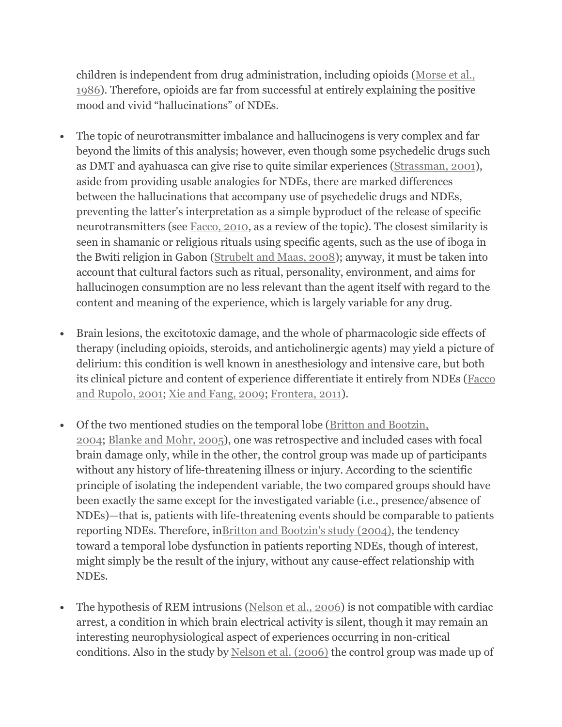children is independent from drug administration, including opioids (Morse et al., 1986). Therefore, opioids are far from successful at entirely explaining the positive mood and vivid "hallucinations" of NDEs.

- The topic of neurotransmitter imbalance and hallucinogens is very complex and far beyond the limits of this analysis; however, even though some psychedelic drugs such as DMT and ayahuasca can give rise to quite similar experiences (Strassman, 2001), aside from providing usable analogies for NDEs, there are marked differences between the hallucinations that accompany use of psychedelic drugs and NDEs, preventing the latter's interpretation as a simple byproduct of the release of specific neurotransmitters (see Facco, 2010, as a review of the topic). The closest similarity is seen in shamanic or religious rituals using specific agents, such as the use of iboga in the Bwiti religion in Gabon (Strubelt and Maas, 2008); anyway, it must be taken into account that cultural factors such as ritual, personality, environment, and aims for hallucinogen consumption are no less relevant than the agent itself with regard to the content and meaning of the experience, which is largely variable for any drug.
- Brain lesions, the excitotoxic damage, and the whole of pharmacologic side effects of therapy (including opioids, steroids, and anticholinergic agents) may yield a picture of delirium: this condition is well known in anesthesiology and intensive care, but both its clinical picture and content of experience differentiate it entirely from NDEs (Facco and Rupolo, 2001; Xie and Fang, 2009; Frontera, 2011).
- Of the two mentioned studies on the temporal lobe (Britton and Bootzin, 2004; Blanke and Mohr, 2005), one was retrospective and included cases with focal brain damage only, while in the other, the control group was made up of participants without any history of life-threatening illness or injury. According to the scientific principle of isolating the independent variable, the two compared groups should have been exactly the same except for the investigated variable (i.e., presence/absence of NDEs)—that is, patients with life-threatening events should be comparable to patients reporting NDEs. Therefore, inBritton and Bootzin's study (2004), the tendency toward a temporal lobe dysfunction in patients reporting NDEs, though of interest, might simply be the result of the injury, without any cause-effect relationship with NDEs.
- The hypothesis of REM intrusions (Nelson et al., 2006) is not compatible with cardiac arrest, a condition in which brain electrical activity is silent, though it may remain an interesting neurophysiological aspect of experiences occurring in non-critical conditions. Also in the study by Nelson et al. (2006) the control group was made up of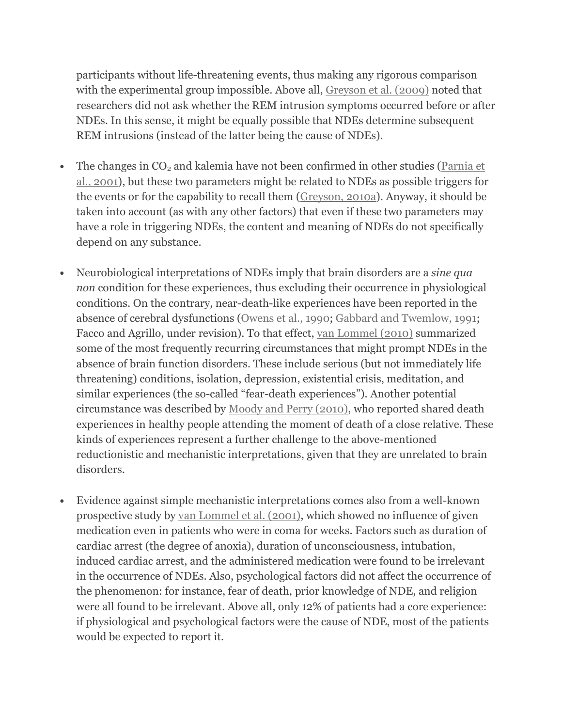participants without life-threatening events, thus making any rigorous comparison with the experimental group impossible. Above all, Greyson et al. (2009) noted that researchers did not ask whether the REM intrusion symptoms occurred before or after NDEs. In this sense, it might be equally possible that NDEs determine subsequent REM intrusions (instead of the latter being the cause of NDEs).

- The changes in  $CO<sub>2</sub>$  and kalemia have not been confirmed in other studies (Parnia et al., 2001), but these two parameters might be related to NDEs as possible triggers for the events or for the capability to recall them (Greyson, 2010a). Anyway, it should be taken into account (as with any other factors) that even if these two parameters may have a role in triggering NDEs, the content and meaning of NDEs do not specifically depend on any substance.
- Neurobiological interpretations of NDEs imply that brain disorders are a sine qua non condition for these experiences, thus excluding their occurrence in physiological conditions. On the contrary, near-death-like experiences have been reported in the absence of cerebral dysfunctions (Owens et al., 1990; Gabbard and Twemlow, 1991; Facco and Agrillo, under revision). To that effect, van Lommel (2010) summarized some of the most frequently recurring circumstances that might prompt NDEs in the absence of brain function disorders. These include serious (but not immediately life threatening) conditions, isolation, depression, existential crisis, meditation, and similar experiences (the so-called "fear-death experiences"). Another potential circumstance was described by Moody and Perry (2010), who reported shared death experiences in healthy people attending the moment of death of a close relative. These kinds of experiences represent a further challenge to the above-mentioned reductionistic and mechanistic interpretations, given that they are unrelated to brain disorders.
- Evidence against simple mechanistic interpretations comes also from a well-known prospective study by van Lommel et al. (2001), which showed no influence of given medication even in patients who were in coma for weeks. Factors such as duration of cardiac arrest (the degree of anoxia), duration of unconsciousness, intubation, induced cardiac arrest, and the administered medication were found to be irrelevant in the occurrence of NDEs. Also, psychological factors did not affect the occurrence of the phenomenon: for instance, fear of death, prior knowledge of NDE, and religion were all found to be irrelevant. Above all, only 12% of patients had a core experience: if physiological and psychological factors were the cause of NDE, most of the patients would be expected to report it.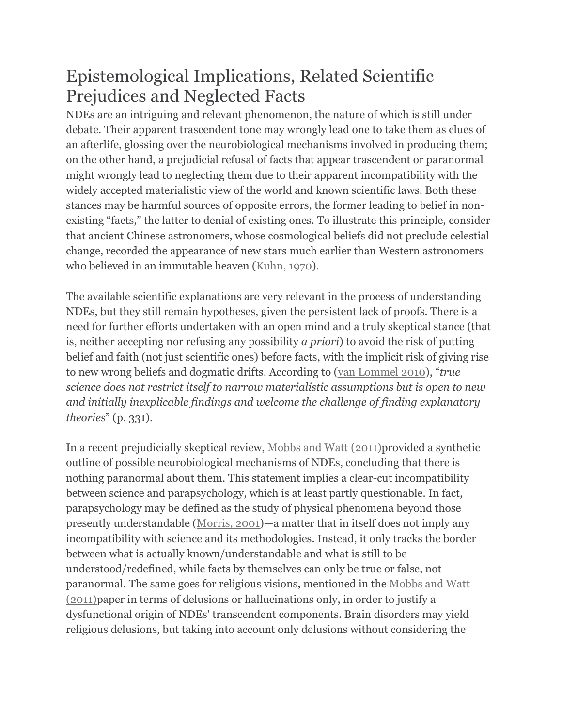### Epistemological Implications, Related Scientific Prejudices and Neglected Facts

NDEs are an intriguing and relevant phenomenon, the nature of which is still under debate. Their apparent trascendent tone may wrongly lead one to take them as clues of an afterlife, glossing over the neurobiological mechanisms involved in producing them; on the other hand, a prejudicial refusal of facts that appear trascendent or paranormal might wrongly lead to neglecting them due to their apparent incompatibility with the widely accepted materialistic view of the world and known scientific laws. Both these stances may be harmful sources of opposite errors, the former leading to belief in nonexisting "facts," the latter to denial of existing ones. To illustrate this principle, consider that ancient Chinese astronomers, whose cosmological beliefs did not preclude celestial change, recorded the appearance of new stars much earlier than Western astronomers who believed in an immutable heaven (Kuhn, 1970).

The available scientific explanations are very relevant in the process of understanding NDEs, but they still remain hypotheses, given the persistent lack of proofs. There is a need for further efforts undertaken with an open mind and a truly skeptical stance (that is, neither accepting nor refusing any possibility a priori) to avoid the risk of putting belief and faith (not just scientific ones) before facts, with the implicit risk of giving rise to new wrong beliefs and dogmatic drifts. According to (van Lommel 2010), "true science does not restrict itself to narrow materialistic assumptions but is open to new and initially inexplicable findings and welcome the challenge of finding explanatory theories" (p. 331).

In a recent prejudicially skeptical review, Mobbs and Watt (2011)provided a synthetic outline of possible neurobiological mechanisms of NDEs, concluding that there is nothing paranormal about them. This statement implies a clear-cut incompatibility between science and parapsychology, which is at least partly questionable. In fact, parapsychology may be defined as the study of physical phenomena beyond those presently understandable (Morris, 2001)—a matter that in itself does not imply any incompatibility with science and its methodologies. Instead, it only tracks the border between what is actually known/understandable and what is still to be understood/redefined, while facts by themselves can only be true or false, not paranormal. The same goes for religious visions, mentioned in the Mobbs and Watt (2011)paper in terms of delusions or hallucinations only, in order to justify a dysfunctional origin of NDEs' transcendent components. Brain disorders may yield religious delusions, but taking into account only delusions without considering the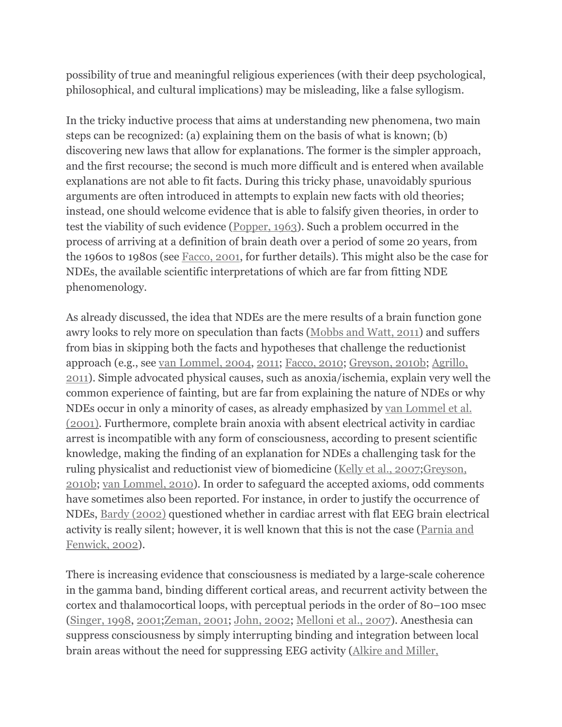possibility of true and meaningful religious experiences (with their deep psychological, philosophical, and cultural implications) may be misleading, like a false syllogism.

In the tricky inductive process that aims at understanding new phenomena, two main steps can be recognized: (a) explaining them on the basis of what is known; (b) discovering new laws that allow for explanations. The former is the simpler approach, and the first recourse; the second is much more difficult and is entered when available explanations are not able to fit facts. During this tricky phase, unavoidably spurious arguments are often introduced in attempts to explain new facts with old theories; instead, one should welcome evidence that is able to falsify given theories, in order to test the viability of such evidence (Popper, 1963). Such a problem occurred in the process of arriving at a definition of brain death over a period of some 20 years, from the 1960s to 1980s (see Facco, 2001, for further details). This might also be the case for NDEs, the available scientific interpretations of which are far from fitting NDE phenomenology.

As already discussed, the idea that NDEs are the mere results of a brain function gone awry looks to rely more on speculation than facts (Mobbs and Watt, 2011) and suffers from bias in skipping both the facts and hypotheses that challenge the reductionist approach (e.g., see van Lommel, 2004, 2011; Facco, 2010; Greyson, 2010b; Agrillo, 2011). Simple advocated physical causes, such as anoxia/ischemia, explain very well the common experience of fainting, but are far from explaining the nature of NDEs or why NDEs occur in only a minority of cases, as already emphasized by van Lommel et al. (2001). Furthermore, complete brain anoxia with absent electrical activity in cardiac arrest is incompatible with any form of consciousness, according to present scientific knowledge, making the finding of an explanation for NDEs a challenging task for the ruling physicalist and reductionist view of biomedicine (Kelly et al., 2007;Greyson, 2010b; van Lommel, 2010). In order to safeguard the accepted axioms, odd comments have sometimes also been reported. For instance, in order to justify the occurrence of NDEs, Bardy (2002) questioned whether in cardiac arrest with flat EEG brain electrical activity is really silent; however, it is well known that this is not the case (Parnia and Fenwick, 2002).

There is increasing evidence that consciousness is mediated by a large-scale coherence in the gamma band, binding different cortical areas, and recurrent activity between the cortex and thalamocortical loops, with perceptual periods in the order of 80–100 msec (Singer, 1998, 2001;Zeman, 2001; John, 2002; Melloni et al., 2007). Anesthesia can suppress consciousness by simply interrupting binding and integration between local brain areas without the need for suppressing EEG activity (Alkire and Miller,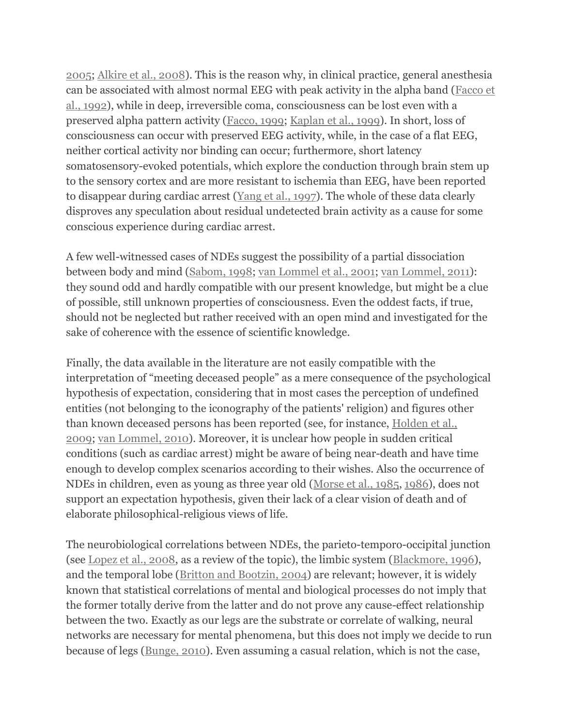2005; Alkire et al., 2008). This is the reason why, in clinical practice, general anesthesia can be associated with almost normal EEG with peak activity in the alpha band (Facco et al., 1992), while in deep, irreversible coma, consciousness can be lost even with a preserved alpha pattern activity (Facco, 1999; Kaplan et al., 1999). In short, loss of consciousness can occur with preserved EEG activity, while, in the case of a flat EEG, neither cortical activity nor binding can occur; furthermore, short latency somatosensory-evoked potentials, which explore the conduction through brain stem up to the sensory cortex and are more resistant to ischemia than EEG, have been reported to disappear during cardiac arrest (Yang et al., 1997). The whole of these data clearly disproves any speculation about residual undetected brain activity as a cause for some conscious experience during cardiac arrest.

A few well-witnessed cases of NDEs suggest the possibility of a partial dissociation between body and mind (Sabom, 1998; van Lommel et al., 2001; van Lommel, 2011): they sound odd and hardly compatible with our present knowledge, but might be a clue of possible, still unknown properties of consciousness. Even the oddest facts, if true, should not be neglected but rather received with an open mind and investigated for the sake of coherence with the essence of scientific knowledge.

Finally, the data available in the literature are not easily compatible with the interpretation of "meeting deceased people" as a mere consequence of the psychological hypothesis of expectation, considering that in most cases the perception of undefined entities (not belonging to the iconography of the patients' religion) and figures other than known deceased persons has been reported (see, for instance, Holden et al., 2009; van Lommel, 2010). Moreover, it is unclear how people in sudden critical conditions (such as cardiac arrest) might be aware of being near-death and have time enough to develop complex scenarios according to their wishes. Also the occurrence of NDEs in children, even as young as three year old (Morse et al., 1985, 1986), does not support an expectation hypothesis, given their lack of a clear vision of death and of elaborate philosophical-religious views of life.

The neurobiological correlations between NDEs, the parieto-temporo-occipital junction (see Lopez et al., 2008, as a review of the topic), the limbic system (Blackmore, 1996), and the temporal lobe (Britton and Bootzin, 2004) are relevant; however, it is widely known that statistical correlations of mental and biological processes do not imply that the former totally derive from the latter and do not prove any cause-effect relationship between the two. Exactly as our legs are the substrate or correlate of walking, neural networks are necessary for mental phenomena, but this does not imply we decide to run because of legs (Bunge, 2010). Even assuming a casual relation, which is not the case,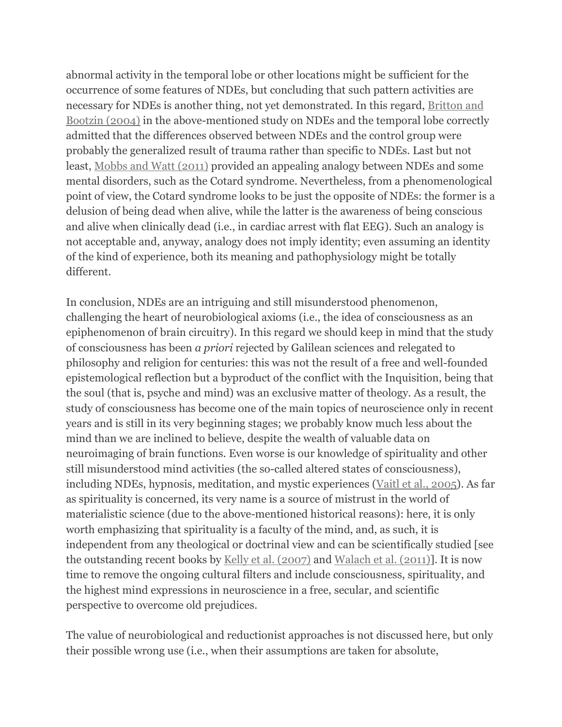abnormal activity in the temporal lobe or other locations might be sufficient for the occurrence of some features of NDEs, but concluding that such pattern activities are necessary for NDEs is another thing, not yet demonstrated. In this regard, Britton and Bootzin (2004) in the above-mentioned study on NDEs and the temporal lobe correctly admitted that the differences observed between NDEs and the control group were probably the generalized result of trauma rather than specific to NDEs. Last but not least, Mobbs and Watt (2011) provided an appealing analogy between NDEs and some mental disorders, such as the Cotard syndrome. Nevertheless, from a phenomenological point of view, the Cotard syndrome looks to be just the opposite of NDEs: the former is a delusion of being dead when alive, while the latter is the awareness of being conscious and alive when clinically dead (i.e., in cardiac arrest with flat EEG). Such an analogy is not acceptable and, anyway, analogy does not imply identity; even assuming an identity of the kind of experience, both its meaning and pathophysiology might be totally different.

In conclusion, NDEs are an intriguing and still misunderstood phenomenon, challenging the heart of neurobiological axioms (i.e., the idea of consciousness as an epiphenomenon of brain circuitry). In this regard we should keep in mind that the study of consciousness has been a priori rejected by Galilean sciences and relegated to philosophy and religion for centuries: this was not the result of a free and well-founded epistemological reflection but a byproduct of the conflict with the Inquisition, being that the soul (that is, psyche and mind) was an exclusive matter of theology. As a result, the study of consciousness has become one of the main topics of neuroscience only in recent years and is still in its very beginning stages; we probably know much less about the mind than we are inclined to believe, despite the wealth of valuable data on neuroimaging of brain functions. Even worse is our knowledge of spirituality and other still misunderstood mind activities (the so-called altered states of consciousness), including NDEs, hypnosis, meditation, and mystic experiences (Vaitl et al., 2005). As far as spirituality is concerned, its very name is a source of mistrust in the world of materialistic science (due to the above-mentioned historical reasons): here, it is only worth emphasizing that spirituality is a faculty of the mind, and, as such, it is independent from any theological or doctrinal view and can be scientifically studied [see the outstanding recent books by Kelly et al. (2007) and Walach et al. (2011)]. It is now time to remove the ongoing cultural filters and include consciousness, spirituality, and the highest mind expressions in neuroscience in a free, secular, and scientific perspective to overcome old prejudices.

The value of neurobiological and reductionist approaches is not discussed here, but only their possible wrong use (i.e., when their assumptions are taken for absolute,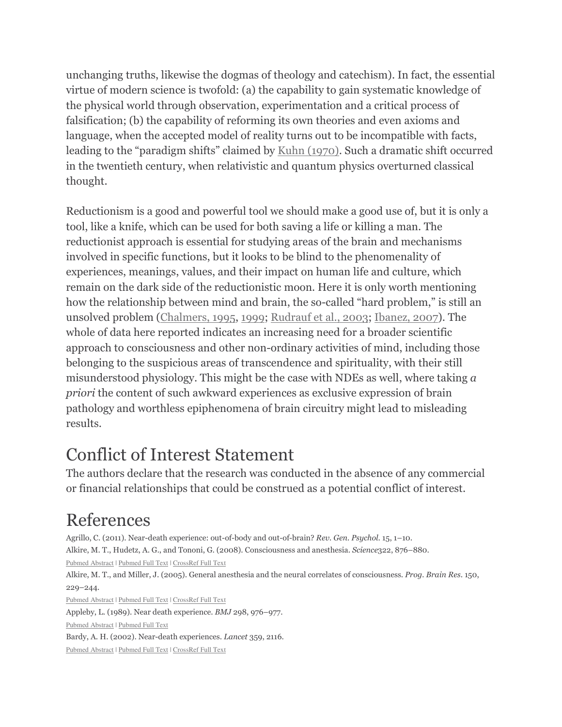unchanging truths, likewise the dogmas of theology and catechism). In fact, the essential virtue of modern science is twofold: (a) the capability to gain systematic knowledge of the physical world through observation, experimentation and a critical process of falsification; (b) the capability of reforming its own theories and even axioms and language, when the accepted model of reality turns out to be incompatible with facts, leading to the "paradigm shifts" claimed by Kuhn (1970). Such a dramatic shift occurred in the twentieth century, when relativistic and quantum physics overturned classical thought.

Reductionism is a good and powerful tool we should make a good use of, but it is only a tool, like a knife, which can be used for both saving a life or killing a man. The reductionist approach is essential for studying areas of the brain and mechanisms involved in specific functions, but it looks to be blind to the phenomenality of experiences, meanings, values, and their impact on human life and culture, which remain on the dark side of the reductionistic moon. Here it is only worth mentioning how the relationship between mind and brain, the so-called "hard problem," is still an unsolved problem (Chalmers, 1995, 1999; Rudrauf et al., 2003; Ibanez, 2007). The whole of data here reported indicates an increasing need for a broader scientific approach to consciousness and other non-ordinary activities of mind, including those belonging to the suspicious areas of transcendence and spirituality, with their still misunderstood physiology. This might be the case with NDEs as well, where taking  $a$ priori the content of such awkward experiences as exclusive expression of brain pathology and worthless epiphenomena of brain circuitry might lead to misleading results.

### Conflict of Interest Statement

The authors declare that the research was conducted in the absence of any commercial or financial relationships that could be construed as a potential conflict of interest.

### References

Agrillo, C. (2011). Near-death experience: out-of-body and out-of-brain? Rev. Gen. Psychol. 15, 1–10. Alkire, M. T., Hudetz, A. G., and Tononi, G. (2008). Consciousness and anesthesia. Science322, 876–880. Pubmed Abstract | Pubmed Full Text | CrossRef Full Text Alkire, M. T., and Miller, J. (2005). General anesthesia and the neural correlates of consciousness. Prog. Brain Res. 150, 229–244.

Pubmed Abstract | Pubmed Full Text | CrossRef Full Text

Appleby, L. (1989). Near death experience. BMJ 298, 976–977.

Pubmed Abstract | Pubmed Full Text

Bardy, A. H. (2002). Near-death experiences. Lancet 359, 2116.

Pubmed Abstract | Pubmed Full Text | CrossRef Full Text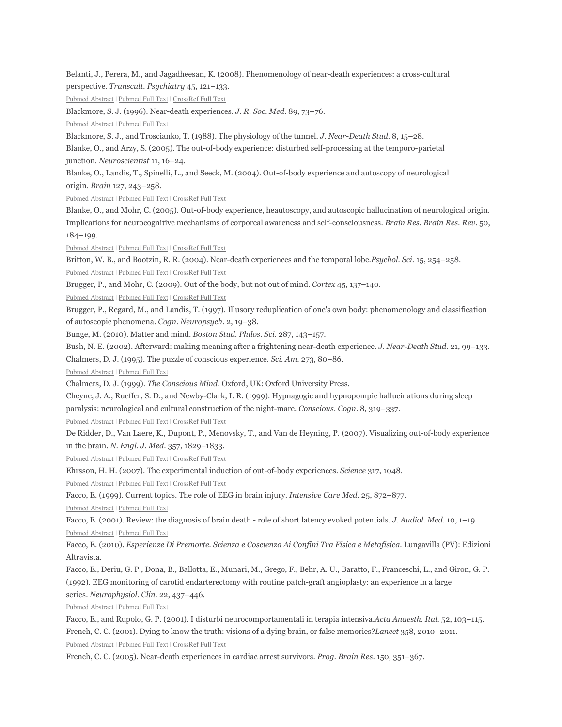Belanti, J., Perera, M., and Jagadheesan, K. (2008). Phenomenology of near-death experiences: a cross-cultural perspective. Transcult. Psychiatry 45, 121–133. Pubmed Abstract | Pubmed Full Text | CrossRef Full Text Blackmore, S. J. (1996). Near-death experiences. J. R. Soc. Med. 89, 73–76. Pubmed Abstract | Pubmed Full Text Blackmore, S. J., and Troscianko, T. (1988). The physiology of the tunnel. J. Near-Death Stud. 8, 15–28. Blanke, O., and Arzy, S. (2005). The out-of-body experience: disturbed self-processing at the temporo-parietal junction. Neuroscientist 11, 16–24. Blanke, O., Landis, T., Spinelli, L., and Seeck, M. (2004). Out-of-body experience and autoscopy of neurological origin. Brain 127, 243–258. Pubmed Abstract | Pubmed Full Text | CrossRef Full Text Blanke, O., and Mohr, C. (2005). Out-of-body experience, heautoscopy, and autoscopic hallucination of neurological origin. Implications for neurocognitive mechanisms of corporeal awareness and self-consciousness. Brain Res. Brain Res. Rev. 50, 184–199. Pubmed Abstract | Pubmed Full Text | CrossRef Full Text Britton, W. B., and Bootzin, R. R. (2004). Near-death experiences and the temporal lobe.Psychol. Sci. 15, 254–258. Pubmed Abstract | Pubmed Full Text | CrossRef Full Text Brugger, P., and Mohr, C. (2009). Out of the body, but not out of mind. Cortex 45, 137–140. Pubmed Abstract | Pubmed Full Text | CrossRef Full Text Brugger, P., Regard, M., and Landis, T. (1997). Illusory reduplication of one's own body: phenomenology and classification of autoscopic phenomena. Cogn. Neuropsych. 2, 19–38. Bunge, M. (2010). Matter and mind. Boston Stud. Philos. Sci. 287, 143–157. Bush, N. E. (2002). Afterward: making meaning after a frightening near-death experience. J. Near-Death Stud. 21, 99–133. Chalmers, D. J. (1995). The puzzle of conscious experience. Sci. Am. 273, 80–86. Pubmed Abstract | Pubmed Full Text Chalmers, D. J. (1999). The Conscious Mind. Oxford, UK: Oxford University Press. Cheyne, J. A., Rueffer, S. D., and Newby-Clark, I. R. (1999). Hypnagogic and hypnopompic hallucinations during sleep paralysis: neurological and cultural construction of the night-mare. Conscious. Cogn. 8, 319–337. Pubmed Abstract | Pubmed Full Text | CrossRef Full Text De Ridder, D., Van Laere, K., Dupont, P., Menovsky, T., and Van de Heyning, P. (2007). Visualizing out-of-body experience in the brain. N. Engl. J. Med. 357, 1829–1833. Pubmed Abstract | Pubmed Full Text | CrossRef Full Text Ehrsson, H. H. (2007). The experimental induction of out-of-body experiences. Science 317, 1048. Pubmed Abstract | Pubmed Full Text | CrossRef Full Text Facco, E. (1999). Current topics. The role of EEG in brain injury. Intensive Care Med. 25, 872–877. Pubmed Abstract | Pubmed Full Text Facco, E. (2001). Review: the diagnosis of brain death - role of short latency evoked potentials. J. Audiol. Med. 10, 1–19. Pubmed Abstract | Pubmed Full Text Facco, E. (2010). Esperienze Di Premorte. Scienza e Coscienza Ai Confini Tra Fisica e Metafisica. Lungavilla (PV): Edizioni Altravista. Facco, E., Deriu, G. P., Dona, B., Ballotta, E., Munari, M., Grego, F., Behr, A. U., Baratto, F., Franceschi, L., and Giron, G. P. (1992). EEG monitoring of carotid endarterectomy with routine patch-graft angioplasty: an experience in a large series. Neurophysiol. Clin. 22, 437–446. Pubmed Abstract | Pubmed Full Text Facco, E., and Rupolo, G. P. (2001). I disturbi neurocomportamentali in terapia intensiva.Acta Anaesth. Ital. 52, 103–115. French, C. C. (2001). Dying to know the truth: visions of a dying brain, or false memories?Lancet 358, 2010–2011.

Pubmed Abstract | Pubmed Full Text | CrossRef Full Text

French, C. C. (2005). Near-death experiences in cardiac arrest survivors. Prog. Brain Res. 150, 351–367.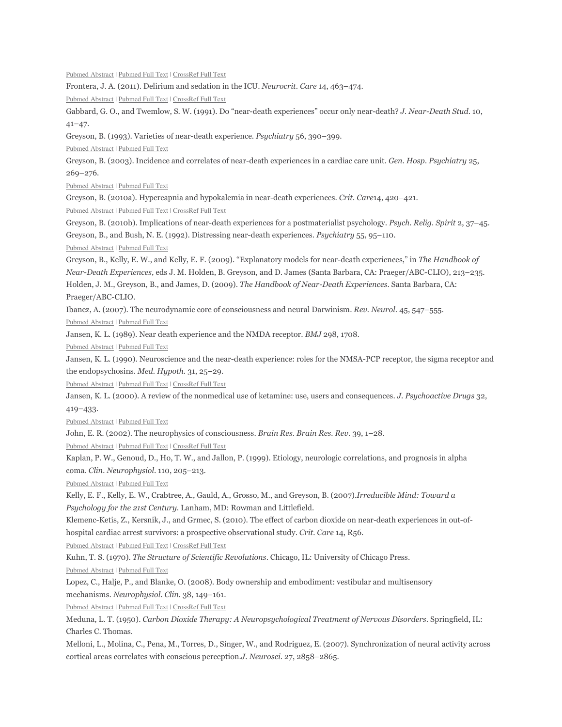Frontera, J. A. (2011). Delirium and sedation in the ICU. Neurocrit. Care 14, 463–474. Pubmed Abstract | Pubmed Full Text | CrossRef Full Text Gabbard, G. O., and Twemlow, S. W. (1991). Do "near-death experiences" occur only near-death? J. Near-Death Stud. 10, 41–47. Greyson, B. (1993). Varieties of near-death experience. Psychiatry 56, 390–399. Pubmed Abstract | Pubmed Full Text Greyson, B. (2003). Incidence and correlates of near-death experiences in a cardiac care unit. Gen. Hosp. Psychiatry 25, 269–276. Pubmed Abstract | Pubmed Full Text Greyson, B. (2010a). Hypercapnia and hypokalemia in near-death experiences. Crit. Care14, 420–421. Pubmed Abstract | Pubmed Full Text | CrossRef Full Text Greyson, B. (2010b). Implications of near-death experiences for a postmaterialist psychology. Psych. Relig. Spirit 2, 37–45. Greyson, B., and Bush, N. E. (1992). Distressing near-death experiences. Psychiatry 55, 95–110. Pubmed Abstract | Pubmed Full Text Greyson, B., Kelly, E. W., and Kelly, E. F. (2009). "Explanatory models for near-death experiences," in The Handbook of Near-Death Experiences, eds J. M. Holden, B. Greyson, and D. James (Santa Barbara, CA: Praeger/ABC-CLIO), 213–235. Holden, J. M., Greyson, B., and James, D. (2009). The Handbook of Near-Death Experiences. Santa Barbara, CA: Praeger/ABC-CLIO. Ibanez, A. (2007). The neurodynamic core of consciousness and neural Darwinism. Rev. Neurol. 45, 547–555. Pubmed Abstract | Pubmed Full Text Jansen, K. L. (1989). Near death experience and the NMDA receptor. BMJ 298, 1708. Pubmed Abstract | Pubmed Full Text Jansen, K. L. (1990). Neuroscience and the near-death experience: roles for the NMSA-PCP receptor, the sigma receptor and the endopsychosins. Med. Hypoth. 31, 25–29. Pubmed Abstract | Pubmed Full Text | CrossRef Full Text Jansen, K. L. (2000). A review of the nonmedical use of ketamine: use, users and consequences. J. Psychoactive Drugs 32, 419–433. Pubmed Abstract | Pubmed Full Text John, E. R. (2002). The neurophysics of consciousness. Brain Res. Brain Res. Rev. 39, 1–28. Pubmed Abstract | Pubmed Full Text | CrossRef Full Text Kaplan, P. W., Genoud, D., Ho, T. W., and Jallon, P. (1999). Etiology, neurologic correlations, and prognosis in alpha coma. Clin. Neurophysiol. 110, 205–213. Pubmed Abstract | Pubmed Full Text Kelly, E. F., Kelly, E. W., Crabtree, A., Gauld, A., Grosso, M., and Greyson, B. (2007).Irreducible Mind: Toward a Psychology for the 21st Century. Lanham, MD: Rowman and Littlefield. Klemenc-Ketis, Z., Kersnik, J., and Grmec, S. (2010). The effect of carbon dioxide on near-death experiences in out-ofhospital cardiac arrest survivors: a prospective observational study. Crit. Care 14, R56. Pubmed Abstract | Pubmed Full Text | CrossRef Full Text Kuhn, T. S. (1970). The Structure of Scientific Revolutions. Chicago, IL: University of Chicago Press. Pubmed Abstract | Pubmed Full Text Lopez, C., Halje, P., and Blanke, O. (2008). Body ownership and embodiment: vestibular and multisensory mechanisms. Neurophysiol. Clin. 38, 149–161. Pubmed Abstract | Pubmed Full Text | CrossRef Full Text Meduna, L. T. (1950). Carbon Dioxide Therapy: A Neuropsychological Treatment of Nervous Disorders. Springfield, IL: Charles C. Thomas.

Pubmed Abstract | Pubmed Full Text | CrossRef Full Text

Melloni, L., Molina, C., Pena, M., Torres, D., Singer, W., and Rodriguez, E. (2007). Synchronization of neural activity across cortical areas correlates with conscious perception.J. Neurosci. 27, 2858–2865.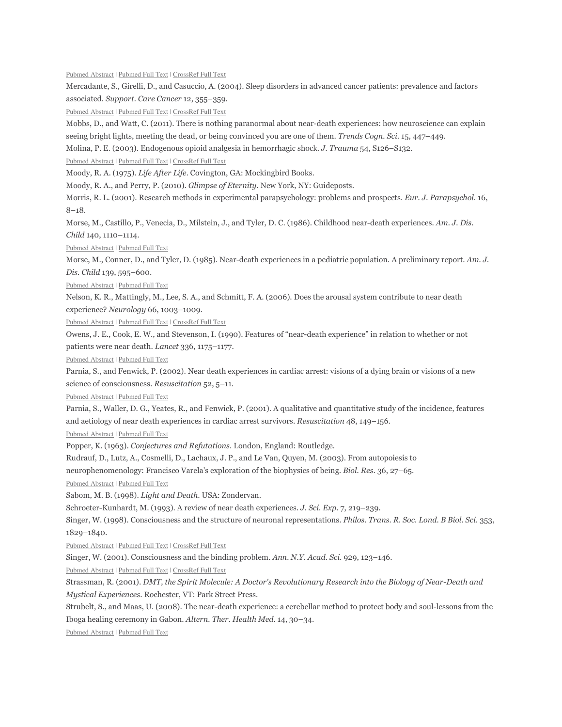Pubmed Abstract | Pubmed Full Text | CrossRef Full Text

Mercadante, S., Girelli, D., and Casuccio, A. (2004). Sleep disorders in advanced cancer patients: prevalence and factors associated. Support. Care Cancer 12, 355–359.

Pubmed Abstract | Pubmed Full Text | CrossRef Full Text

Mobbs, D., and Watt, C. (2011). There is nothing paranormal about near-death experiences: how neuroscience can explain seeing bright lights, meeting the dead, or being convinced you are one of them. Trends Cogn. Sci. 15, 447–449.

Molina, P. E. (2003). Endogenous opioid analgesia in hemorrhagic shock. J. Trauma 54, S126–S132.

Pubmed Abstract | Pubmed Full Text | CrossRef Full Text

Moody, R. A. (1975). Life After Life. Covington, GA: Mockingbird Books.

Moody, R. A., and Perry, P. (2010). Glimpse of Eternity. New York, NY: Guideposts.

Morris, R. L. (2001). Research methods in experimental parapsychology: problems and prospects. Eur. J. Parapsychol. 16, 8–18.

Morse, M., Castillo, P., Venecia, D., Milstein, J., and Tyler, D. C. (1986). Childhood near-death experiences. Am. J. Dis. Child 140, 1110–1114.

Pubmed Abstract | Pubmed Full Text

Morse, M., Conner, D., and Tyler, D. (1985). Near-death experiences in a pediatric population. A preliminary report. Am. J. Dis. Child 139, 595–600.

Pubmed Abstract | Pubmed Full Text

Nelson, K. R., Mattingly, M., Lee, S. A., and Schmitt, F. A. (2006). Does the arousal system contribute to near death experience? Neurology 66, 1003–1009.

Pubmed Abstract | Pubmed Full Text | CrossRef Full Text

Owens, J. E., Cook, E. W., and Stevenson, I. (1990). Features of "near-death experience" in relation to whether or not patients were near death. Lancet 336, 1175–1177.

Pubmed Abstract | Pubmed Full Text

Parnia, S., and Fenwick, P. (2002). Near death experiences in cardiac arrest: visions of a dying brain or visions of a new science of consciousness. Resuscitation 52, 5–11.

Pubmed Abstract | Pubmed Full Text

Parnia, S., Waller, D. G., Yeates, R., and Fenwick, P. (2001). A qualitative and quantitative study of the incidence, features and aetiology of near death experiences in cardiac arrest survivors. Resuscitation 48, 149–156.

Pubmed Abstract | Pubmed Full Text

Popper, K. (1963). Conjectures and Refutations. London, England: Routledge.

Rudrauf, D., Lutz, A., Cosmelli, D., Lachaux, J. P., and Le Van, Quyen, M. (2003). From autopoiesis to

neurophenomenology: Francisco Varela's exploration of the biophysics of being. Biol. Res. 36, 27–65.

Pubmed Abstract | Pubmed Full Text

Sabom, M. B. (1998). Light and Death. USA: Zondervan.

Schroeter-Kunhardt, M. (1993). A review of near death experiences. J. Sci. Exp. 7, 219–239.

Singer, W. (1998). Consciousness and the structure of neuronal representations. Philos. Trans. R. Soc. Lond. B Biol. Sci. 353, 1829–1840.

Pubmed Abstract | Pubmed Full Text | CrossRef Full Text

Singer, W. (2001). Consciousness and the binding problem. Ann. N.Y. Acad. Sci. 929, 123–146.

Pubmed Abstract | Pubmed Full Text | CrossRef Full Text

Strassman, R. (2001). DMT, the Spirit Molecule: A Doctor's Revolutionary Research into the Biology of Near-Death and Mystical Experiences. Rochester, VT: Park Street Press.

Strubelt, S., and Maas, U. (2008). The near-death experience: a cerebellar method to protect body and soul-lessons from the Iboga healing ceremony in Gabon. Altern. Ther. Health Med. 14, 30–34.

Pubmed Abstract | Pubmed Full Text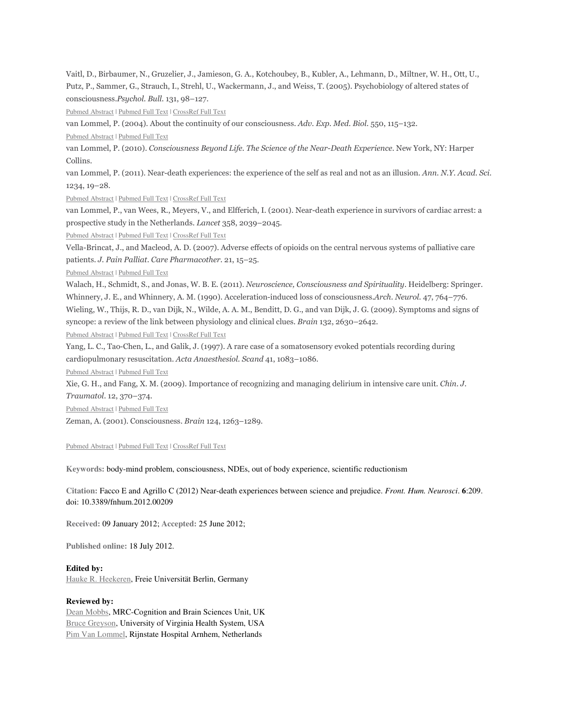Vaitl, D., Birbaumer, N., Gruzelier, J., Jamieson, G. A., Kotchoubey, B., Kubler, A., Lehmann, D., Miltner, W. H., Ott, U., Putz, P., Sammer, G., Strauch, I., Strehl, U., Wackermann, J., and Weiss, T. (2005). Psychobiology of altered states of consciousness.Psychol. Bull. 131, 98–127.

Pubmed Abstract | Pubmed Full Text | CrossRef Full Text

van Lommel, P. (2004). About the continuity of our consciousness. Adv. Exp. Med. Biol. 550, 115–132.

Pubmed Abstract | Pubmed Full Text

van Lommel, P. (2010). Consciousness Beyond Life. The Science of the Near-Death Experience. New York, NY: Harper Collins.

van Lommel, P. (2011). Near-death experiences: the experience of the self as real and not as an illusion. Ann. N.Y. Acad. Sci. 1234, 19–28.

Pubmed Abstract | Pubmed Full Text | CrossRef Full Text

van Lommel, P., van Wees, R., Meyers, V., and Elfferich, I. (2001). Near-death experience in survivors of cardiac arrest: a prospective study in the Netherlands. Lancet 358, 2039–2045.

Pubmed Abstract | Pubmed Full Text | CrossRef Full Text

Vella-Brincat, J., and Macleod, A. D. (2007). Adverse effects of opioids on the central nervous systems of palliative care patients. J. Pain Palliat. Care Pharmacother. 21, 15–25.

Pubmed Abstract | Pubmed Full Text

Walach, H., Schmidt, S., and Jonas, W. B. E. (2011). Neuroscience, Consciousness and Spirituality. Heidelberg: Springer. Whinnery, J. E., and Whinnery, A. M. (1990). Acceleration-induced loss of consciousness.Arch. Neurol. 47, 764–776. Wieling, W., Thijs, R. D., van Dijk, N., Wilde, A. A. M., Benditt, D. G., and van Dijk, J. G. (2009). Symptoms and signs of syncope: a review of the link between physiology and clinical clues. Brain 132, 2630–2642.

Pubmed Abstract | Pubmed Full Text | CrossRef Full Text

Yang, L. C., Tao-Chen, L., and Galik, J. (1997). A rare case of a somatosensory evoked potentials recording during cardiopulmonary resuscitation. Acta Anaesthesiol. Scand 41, 1083–1086.

Pubmed Abstract | Pubmed Full Text

Xie, G. H., and Fang, X. M. (2009). Importance of recognizing and managing delirium in intensive care unit. Chin. J.

Traumatol. 12, 370–374.

Pubmed Abstract | Pubmed Full Text

Zeman, A. (2001). Consciousness. Brain 124, 1263–1289.

Pubmed Abstract | Pubmed Full Text | CrossRef Full Text

**Keywords:** body-mind problem, consciousness, NDEs, out of body experience, scientific reductionism

**Citation:** Facco E and Agrillo C (2012) Near-death experiences between science and prejudice. *Front. Hum. Neurosci*. **6**:209. doi: 10.3389/fnhum.2012.00209

**Received:** 09 January 2012; **Accepted:** 25 June 2012;

**Published online:** 18 July 2012.

**Edited by:** 

Hauke R. Heekeren, Freie Universität Berlin, Germany

#### **Reviewed by:**

Dean Mobbs, MRC-Cognition and Brain Sciences Unit, UK Bruce Greyson, University of Virginia Health System, USA Pim Van Lommel, Rijnstate Hospital Arnhem, Netherlands